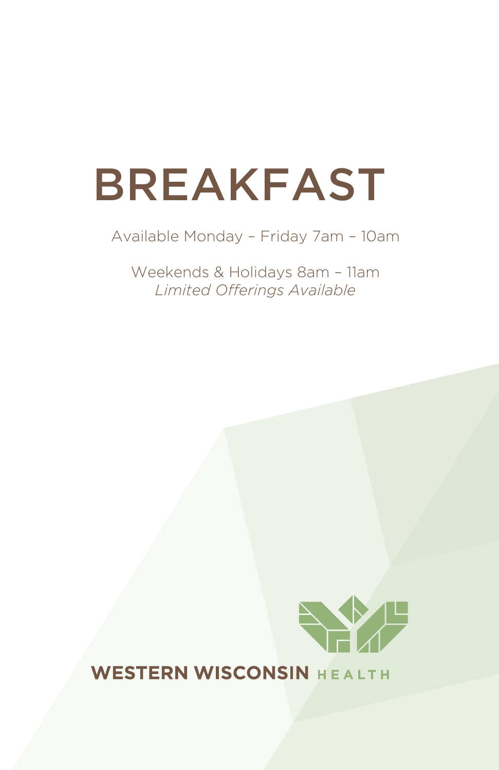# Breakfast

#### Available Monday – Friday 7am – 10am

Weekends & Holidays 8am – 11am *Limited Offerings Available*



### **WESTERN WISCONSIN HEALTH**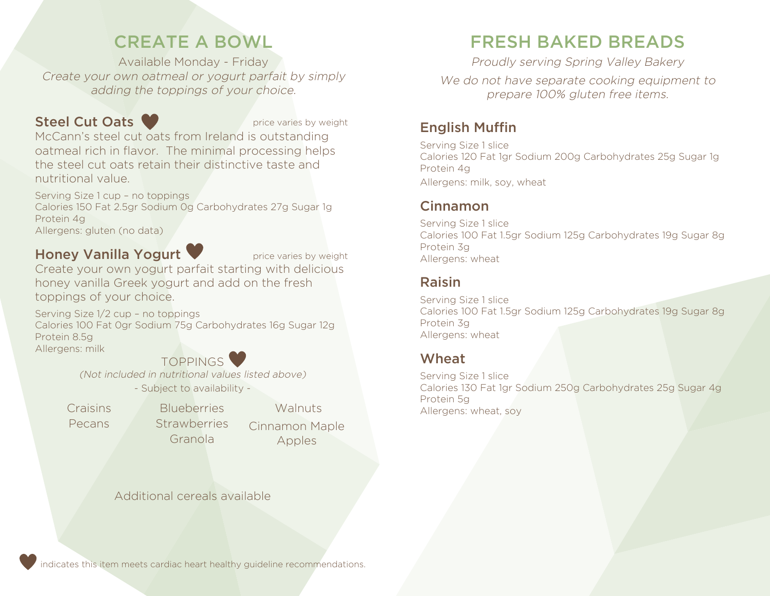# Create a Bowl

Available Monday - Friday Create your own oatmeal or yogurt parfait by simply adding the toppings of your choice.

#### Steel Cut Oats **Demand of the Cut Oats** price varies by weight

McCann's steel cut oats from Ireland is outstanding oatmeal rich in flavor. The minimal processing helps the steel cut oats retain their distinctive taste and nutritional value.

Serving Size 1 cup – no toppings Calories 150 Fat 2.5gr Sodium 0g Carbohydrates 27g Sugar 1g Protein 4g Allergens: gluten (no data)

### Honey Vanilla Yogurt **V** price varies by weight

Create your own yogurt parfait starting with delicious honey vanilla Greek yogurt and add on the fresh toppings of your choice.

Serving Size 1/2 cup – no toppings Calories 100 Fat 0gr Sodium 75g Carbohydrates 16g Sugar 12g Protein 8.5g Allergens: milk



(Not included in nutritional values listed above) - Subject to availability -

Craisins Blueberries Walnuts **Strawberries** Granola

Pecans Strawberries Cinnamon Maple Apples

Additional cereals available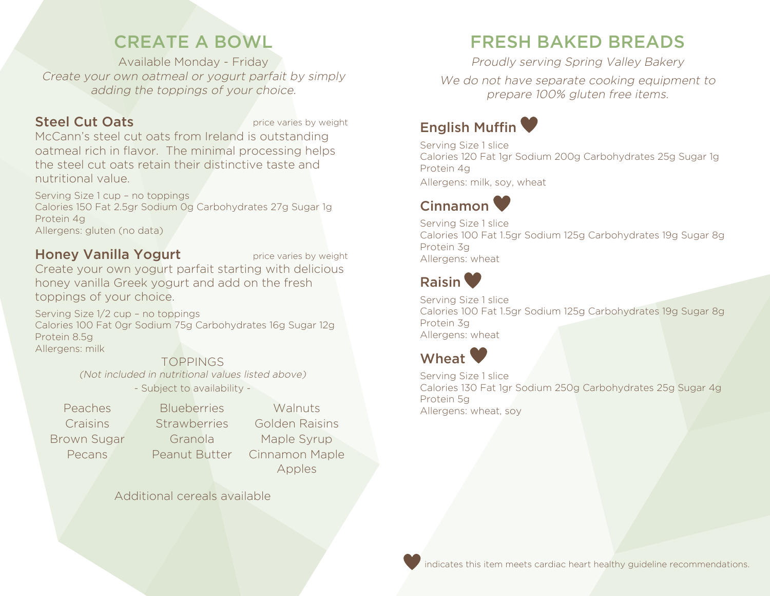# Fresh Baked Breads

Proudly serving Spring Valley Bakery

We do not have separate cooking equipment to prepare 100% gluten free items.



Serving Size 1 slice Calories 120 Fat 1gr Sodium 200g Carbohydrates 25g Sugar 1g Protein 4g Allergens: milk, soy, wheat

### Cinnamon

Serving Size 1 slice Calories 100 Fat 1.5gr Sodium 125g Carbohydrates 19g Sugar 8g Protein 3g Allergens: wheat

# Raisin<sup>(1)</sup>

Serving Size 1 slice Calories 100 Fat 1.5gr Sodium 125g Carbohydrates 19g Sugar 8g Protein 3g Allergens: wheat

# **Wheat**

Serving Size 1 slice Calories 130 Fat 1gr Sodium 250g Carbohydrates 25g Sugar 4g Protein 5g Allergens: wheat, soy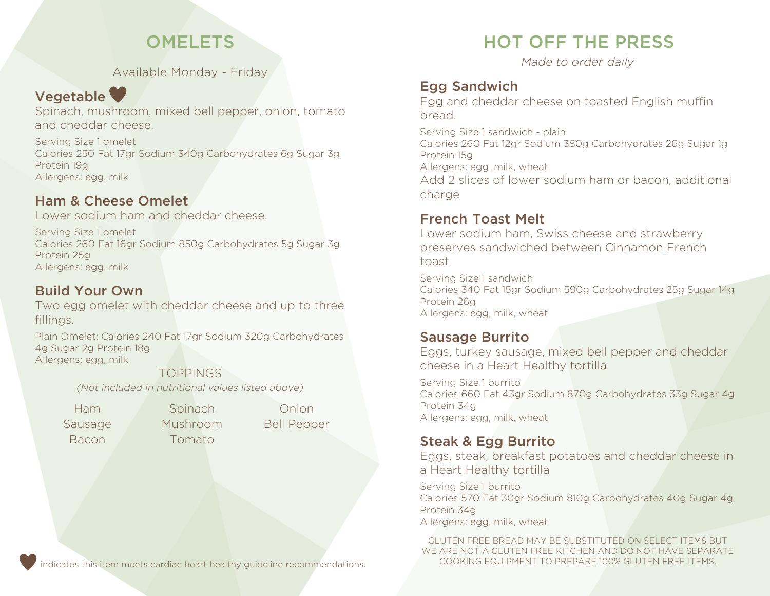# **OMELETS**

Available Monday - Friday

### Vegetable

Spinach, mushroom, mixed bell pepper, onion, tomato and cheddar cheese.

Serving Size 1 omelet Calories 250 Fat 17gr Sodium 340g Carbohydrates 6g Sugar 3g Protein 19g Allergens: egg, milk

### Ham & Cheese omelet

Lower sodium ham and cheddar cheese.

Serving Size 1 omelet Calories 260 Fat 16gr Sodium 850g Carbohydrates 5g Sugar 3g Protein 25g Allergens: egg, milk

### **Build Your Own**

Two egg omelet with cheddar cheese and up to three fillings.

plain omelet: Calories 240 Fat 17gr sodium 320g Carbohydrates 4g Sugar 2g Protein 18g Allergens: egg, milk

#### Toppings

(not included in nutritional values listed above)

Ham Spinach Onion Bacon Tomato

Sausage Mushroom Bell Pepper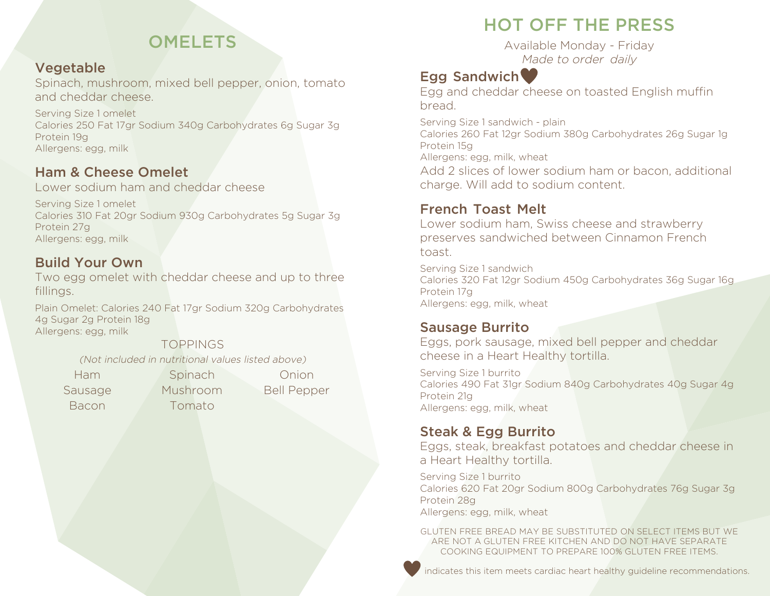# Hot off tHe Press

Available Monday - Friday Made to order *daily*

# Egg Sandwich

Egg and cheddar cheese on toasted English muffin bread.

Serving Size 1 sandwich - plain Calories 260 Fat 12gr Sodium 380g Carbohydrates 26g Sugar 1g Protein 15g Allergens: egg, milk, wheat Add 2 slices of lower sodium ham or bacon, additional charge. Will add to sodium content.

### **French Toast Melt**

Lower sodium ham, Swiss cheese and strawberry preserves sandwiched between Cinnamon French toast.

Serving Size 1 sandwich Calories 320 Fat 12gr Sodium 450g Carbohydrates 36g Sugar 16g Protein 17g Allergens: egg, milk, wheat

### sausage Burrito

Eggs, pork sausage, mixed bell pepper and cheddar cheese in a Heart Healthy tortilla.

Serving Size 1 burrito Calories 490 Fat 31gr Sodium 840g Carbohydrates 40g Sugar 4g Protein 21g Allergens: egg, milk, wheat

# Steak & Egg Burrito

Eggs, steak, breakfast potatoes and cheddar cheese in a Heart Healthy tortilla.

Serving Size 1 burrito Calories 620 Fat 20gr Sodium 800g Carbohydrates 76g Sugar 3g Protein 28g Allergens: egg, milk, wheat

gluTEn FrEE brEad may bE subsTiTuTEd on sElECT iTEms buT wE arE noT a gluTEn FrEE kiTChEn and do noT havE sEparaTE Cooking EquipmEnT To prEparE 100% gluTEn FrEE iTEms.

indicates this item meets cardiac heart healthy guideline recommendations.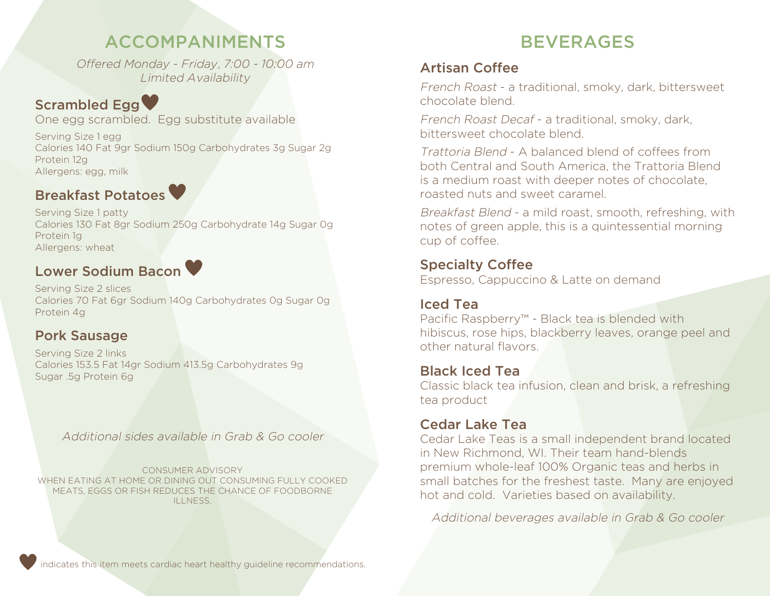# aCComPaniments

offered *Monday - Friday*, *7:00 - 10:00 am L*imited *A*vailability

### Scrambled Egg<sup>V</sup>

one egg scrambled. Egg substitute available

Serving Size 1 egg Calories 140 Fat 9gr Sodium 150g Carbohydrates 3g Sugar 2g Protein 12g Allergens: egg, milk

### Breakfast Potatoes

Serving Size 1 patty Calories 130 Fat 8gr Sodium 250g Carbohydrate 14g Sugar 0g Protein 1g Allergens: wheat

# Lower Sodium Bacon

Serving Size 2 slices Calories 70 Fat 6gr Sodium 140g Carbohydrates 0g Sugar 0g Protein 4g

### **Pork Sausage**

Serving Size 2 links Calories 153.5 Fat 14gr Sodium 413.5g Carbohydrates 9g Sugar .5g Protein 6g

#### Additional sides available in Grab & Go cooler

CONSUMER ADVISORY When eating at home or dining out consuming fully cooked meats, eggs or fish reduces the chance of foodborne ILLNESS.

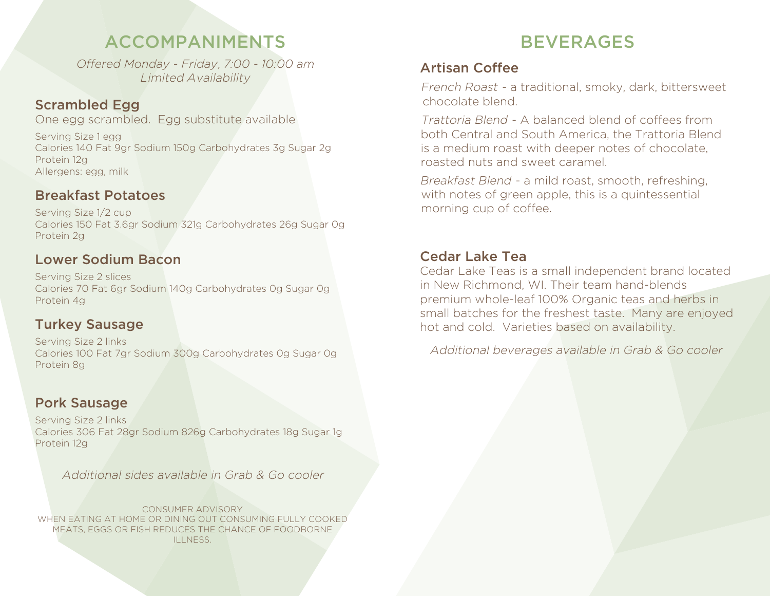# **BEVERAGES**

### artisan Coffee

French Roast - a traditional, smoky, dark, bittersweet chocolate blend.

Trattoria blend - A balanced blend of coffees from both Central and South America, the Trattoria Blend is a medium roast with deeper notes of chocolate, roasted nuts and sweet caramel.

Breakfast Blend - a mild roast, smooth, refreshing, with notes of green apple, this is a quintessential morning cup of coffee.

### **Cedar Lake Tea**

Cedar lake Teas is a small independent brand located in New Richmond, WI. Their team hand-blends premium whole-leaf 100% Organic teas and herbs in small batches for the freshest taste. Many are enjoyed hot and cold. Varieties based on availability.

Additional beverages available in Grab & Go cooler